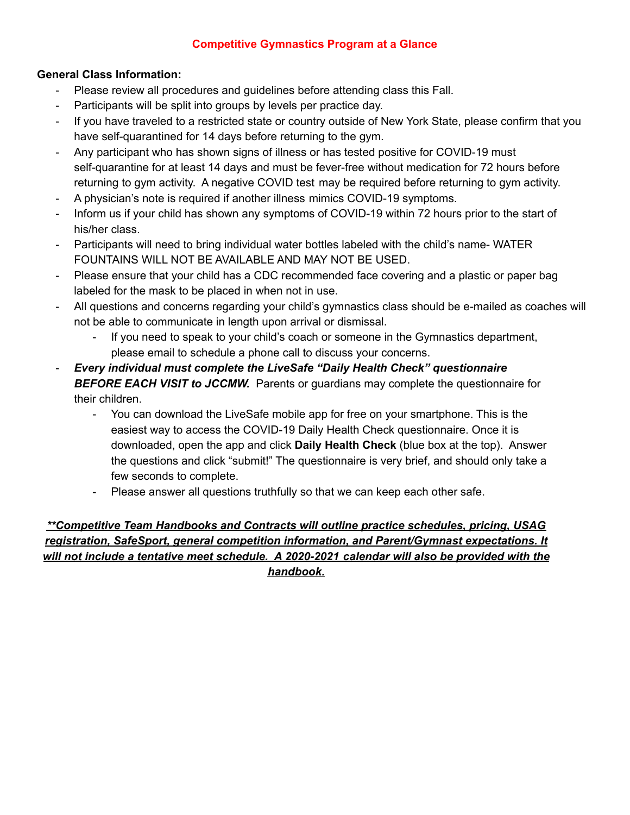#### **Competitive Gymnastics Program at a Glance**

### **General Class Information:**

- Please review all procedures and guidelines before attending class this Fall.
- Participants will be split into groups by levels per practice day.
- If you have traveled to a restricted state or country outside of New York State, please confirm that you have self-quarantined for 14 days before returning to the gym.
- Any participant who has shown signs of illness or has tested positive for COVID-19 must self-quarantine for at least 14 days and must be fever-free without medication for 72 hours before returning to gym activity. A negative COVID test may be required before returning to gym activity.
- A physician's note is required if another illness mimics COVID-19 symptoms.
- Inform us if your child has shown any symptoms of COVID-19 within 72 hours prior to the start of his/her class.
- Participants will need to bring individual water bottles labeled with the child's name- WATER FOUNTAINS WILL NOT BE AVAILABLE AND MAY NOT BE USED.
- Please ensure that your child has a CDC recommended face covering and a plastic or paper bag labeled for the mask to be placed in when not in use.
- All questions and concerns regarding your child's gymnastics class should be e-mailed as coaches will not be able to communicate in length upon arrival or dismissal.
	- If you need to speak to your child's coach or someone in the Gymnastics department, please email to schedule a phone call to discuss your concerns.
- *Every individual must complete the LiveSafe "Daily Health Check" questionnaire BEFORE EACH VISIT to JCCMW.* Parents or guardians may complete the questionnaire for their children.
	- You can download the LiveSafe mobile app for free on your smartphone. This is the easiest way to access the COVID-19 Daily Health Check questionnaire. Once it is downloaded, open the app and click **Daily Health Check** (blue box at the top). Answer the questions and click "submit!" The questionnaire is very brief, and should only take a few seconds to complete.
	- Please answer all questions truthfully so that we can keep each other safe.

*\*\*Competitive Team Handbooks and Contracts will outline practice schedules, pricing, USAG registration, SafeSport, general competition information, and Parent/Gymnast expectations. It will not include a tentative meet schedule. A 2020-2021 calendar will also be provided with the handbook.*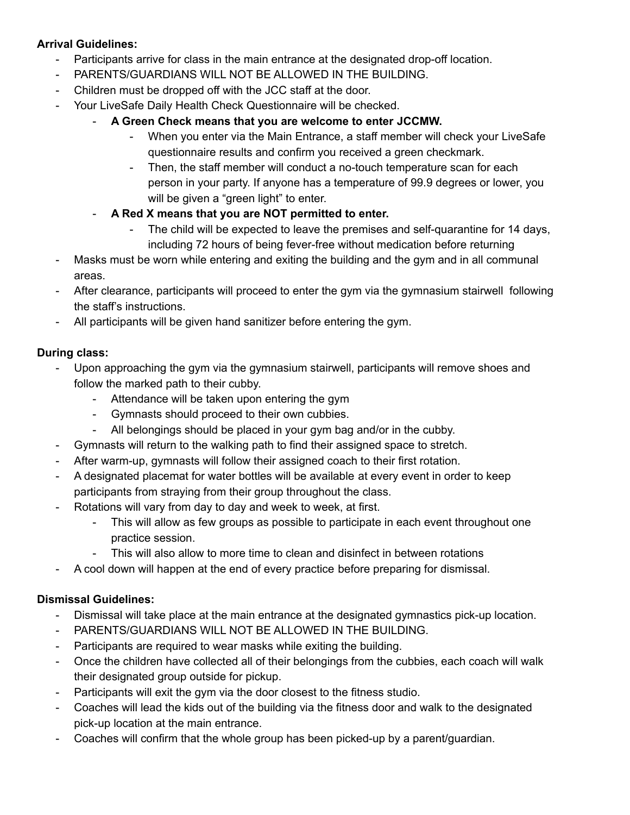### **Arrival Guidelines:**

- Participants arrive for class in the main entrance at the designated drop-off location.
- PARENTS/GUARDIANS WILL NOT BE ALLOWED IN THE BUILDING.
- Children must be dropped off with the JCC staff at the door.
- Your LiveSafe Daily Health Check Questionnaire will be checked.
	- **A Green Check means that you are welcome to enter JCCMW.**
		- When you enter via the Main Entrance, a staff member will check your LiveSafe questionnaire results and confirm you received a green checkmark.
		- Then, the staff member will conduct a no-touch temperature scan for each person in your party. If anyone has a temperature of 99.9 degrees or lower, you will be given a "green light" to enter.
	- **A Red X means that you are NOT permitted to enter.**
		- The child will be expected to leave the premises and self-quarantine for 14 days, including 72 hours of being fever-free without medication before returning
- Masks must be worn while entering and exiting the building and the gym and in all communal areas.
- After clearance, participants will proceed to enter the gym via the gymnasium stairwell following the staff's instructions.
- All participants will be given hand sanitizer before entering the gym.

## **During class:**

- Upon approaching the gym via the gymnasium stairwell, participants will remove shoes and follow the marked path to their cubby.
	- Attendance will be taken upon entering the gym
	- Gymnasts should proceed to their own cubbies.
	- All belongings should be placed in your gym bag and/or in the cubby.
- Gymnasts will return to the walking path to find their assigned space to stretch.
- After warm-up, gymnasts will follow their assigned coach to their first rotation.
- A designated placemat for water bottles will be available at every event in order to keep participants from straying from their group throughout the class.
- Rotations will vary from day to day and week to week, at first.
	- This will allow as few groups as possible to participate in each event throughout one practice session.
	- This will also allow to more time to clean and disinfect in between rotations
- A cool down will happen at the end of every practice before preparing for dismissal.

# **Dismissal Guidelines:**

- Dismissal will take place at the main entrance at the designated gymnastics pick-up location.
- PARENTS/GUARDIANS WILL NOT BE ALLOWED IN THE BUILDING.
- Participants are required to wear masks while exiting the building.
- Once the children have collected all of their belongings from the cubbies, each coach will walk their designated group outside for pickup.
- Participants will exit the gym via the door closest to the fitness studio.
- Coaches will lead the kids out of the building via the fitness door and walk to the designated pick-up location at the main entrance.
- Coaches will confirm that the whole group has been picked-up by a parent/guardian.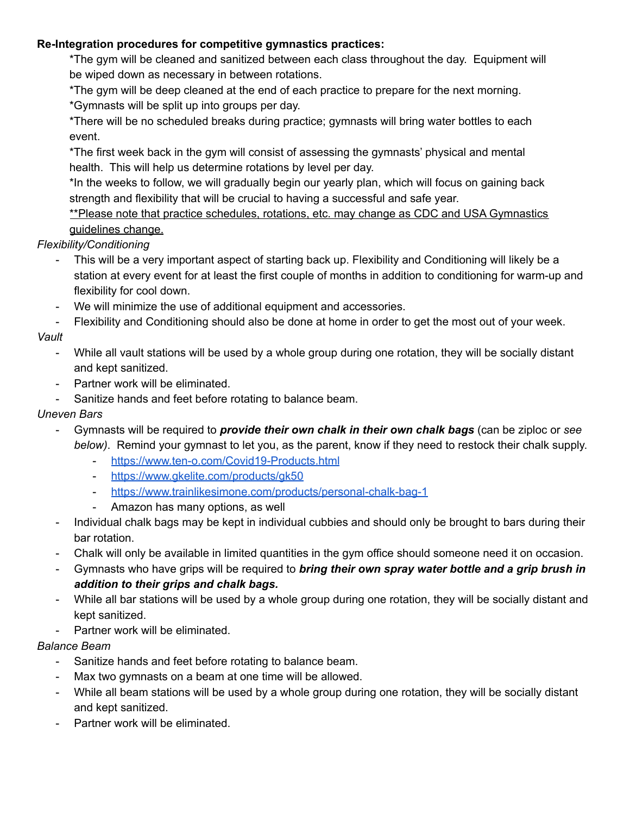#### **Re-Integration procedures for competitive gymnastics practices:**

\*The gym will be cleaned and sanitized between each class throughout the day. Equipment will be wiped down as necessary in between rotations.

\*The gym will be deep cleaned at the end of each practice to prepare for the next morning. \*Gymnasts will be split up into groups per day.

\*There will be no scheduled breaks during practice; gymnasts will bring water bottles to each event.

\*The first week back in the gym will consist of assessing the gymnasts' physical and mental health. This will help us determine rotations by level per day.

\*In the weeks to follow, we will gradually begin our yearly plan, which will focus on gaining back strength and flexibility that will be crucial to having a successful and safe year.

\*\*Please note that practice schedules, rotations, etc. may change as CDC and USA Gymnastics guidelines change.

## *Flexibility/Conditioning*

- This will be a very important aspect of starting back up. Flexibility and Conditioning will likely be a station at every event for at least the first couple of months in addition to conditioning for warm-up and flexibility for cool down.
- We will minimize the use of additional equipment and accessories.
- Flexibility and Conditioning should also be done at home in order to get the most out of your week.

# *Vault*

- While all vault stations will be used by a whole group during one rotation, they will be socially distant and kept sanitized.
- Partner work will be eliminated.
- Sanitize hands and feet before rotating to balance beam.

### *Uneven Bars*

- Gymnasts will be required to *provide their own chalk in their own chalk bags* (can be ziploc or *see below)*. Remind your gymnast to let you, as the parent, know if they need to restock their chalk supply.
	- <https://www.ten-o.com/Covid19-Products.html>
	- <https://www.gkelite.com/products/gk50>
	- <https://www.trainlikesimone.com/products/personal-chalk-bag-1>
	- Amazon has many options, as well
- Individual chalk bags may be kept in individual cubbies and should only be brought to bars during their bar rotation.
- Chalk will only be available in limited quantities in the gym office should someone need it on occasion.
- Gymnasts who have grips will be required to *bring their own spray water bottle and a grip brush in addition to their grips and chalk bags.*
- While all bar stations will be used by a whole group during one rotation, they will be socially distant and kept sanitized.
- Partner work will be eliminated.

# *Balance Beam*

- Sanitize hands and feet before rotating to balance beam.
- Max two gymnasts on a beam at one time will be allowed.
- While all beam stations will be used by a whole group during one rotation, they will be socially distant and kept sanitized.
- Partner work will be eliminated.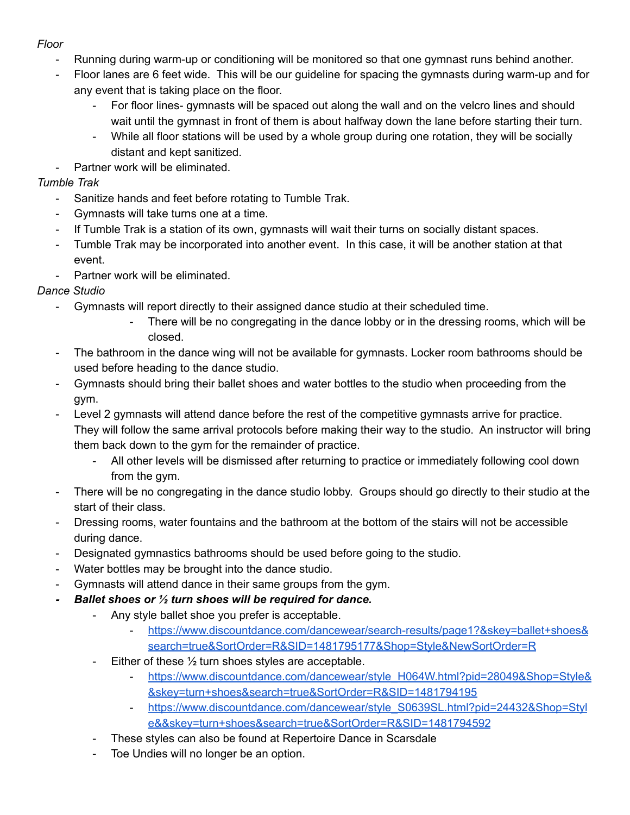## *Floor*

- Running during warm-up or conditioning will be monitored so that one gymnast runs behind another.
- Floor lanes are 6 feet wide. This will be our guideline for spacing the gymnasts during warm-up and for any event that is taking place on the floor.
	- For floor lines- gymnasts will be spaced out along the wall and on the velcro lines and should wait until the gymnast in front of them is about halfway down the lane before starting their turn.
	- While all floor stations will be used by a whole group during one rotation, they will be socially distant and kept sanitized.
- Partner work will be eliminated.

# *Tumble Trak*

- Sanitize hands and feet before rotating to Tumble Trak.
- Gymnasts will take turns one at a time.
- If Tumble Trak is a station of its own, gymnasts will wait their turns on socially distant spaces.
- Tumble Trak may be incorporated into another event. In this case, it will be another station at that event.
- Partner work will be eliminated.

# *Dance Studio*

- Gymnasts will report directly to their assigned dance studio at their scheduled time.
	- There will be no congregating in the dance lobby or in the dressing rooms, which will be closed.
- The bathroom in the dance wing will not be available for gymnasts. Locker room bathrooms should be used before heading to the dance studio.
- Gymnasts should bring their ballet shoes and water bottles to the studio when proceeding from the gym.
- Level 2 gymnasts will attend dance before the rest of the competitive gymnasts arrive for practice. They will follow the same arrival protocols before making their way to the studio. An instructor will bring them back down to the gym for the remainder of practice.
	- All other levels will be dismissed after returning to practice or immediately following cool down from the gym.
- There will be no congregating in the dance studio lobby. Groups should go directly to their studio at the start of their class.
- Dressing rooms, water fountains and the bathroom at the bottom of the stairs will not be accessible during dance.
- Designated gymnastics bathrooms should be used before going to the studio.
- Water bottles may be brought into the dance studio.
- Gymnasts will attend dance in their same groups from the gym.
- *- Ballet shoes or ½ turn shoes will be required for dance.*
	- Any style ballet shoe you prefer is acceptable.
		- [https://www.discountdance.com/dancewear/search-results/page1?&skey=ballet+shoes&](https://www.discountdance.com/dancewear/search-results/page1?&skey=ballet+shoes&search=true&SortOrder=R&SID=1481795177&Shop=Style&NewSortOrder=R) [search=true&SortOrder=R&SID=1481795177&Shop=Style&NewSortOrder=R](https://www.discountdance.com/dancewear/search-results/page1?&skey=ballet+shoes&search=true&SortOrder=R&SID=1481795177&Shop=Style&NewSortOrder=R)
	- Either of these  $\frac{1}{2}$  turn shoes styles are acceptable.
		- [https://www.discountdance.com/dancewear/style\\_H064W.html?pid=28049&Shop=Style&](https://www.discountdance.com/dancewear/style_H064W.html?pid=28049&Shop=Style&&skey=turn+shoes&search=true&SortOrder=R&SID=1481794195) [&skey=turn+shoes&search=true&SortOrder=R&SID=1481794195](https://www.discountdance.com/dancewear/style_H064W.html?pid=28049&Shop=Style&&skey=turn+shoes&search=true&SortOrder=R&SID=1481794195)
		- [https://www.discountdance.com/dancewear/style\\_S0639SL.html?pid=24432&Shop=Styl](https://www.discountdance.com/dancewear/style_S0639SL.html?pid=24432&Shop=Style&&skey=turn+shoes&search=true&SortOrder=R&SID=1481794592) [e&&skey=turn+shoes&search=true&SortOrder=R&SID=1481794592](https://www.discountdance.com/dancewear/style_S0639SL.html?pid=24432&Shop=Style&&skey=turn+shoes&search=true&SortOrder=R&SID=1481794592)
	- These styles can also be found at Repertoire Dance in Scarsdale
	- Toe Undies will no longer be an option.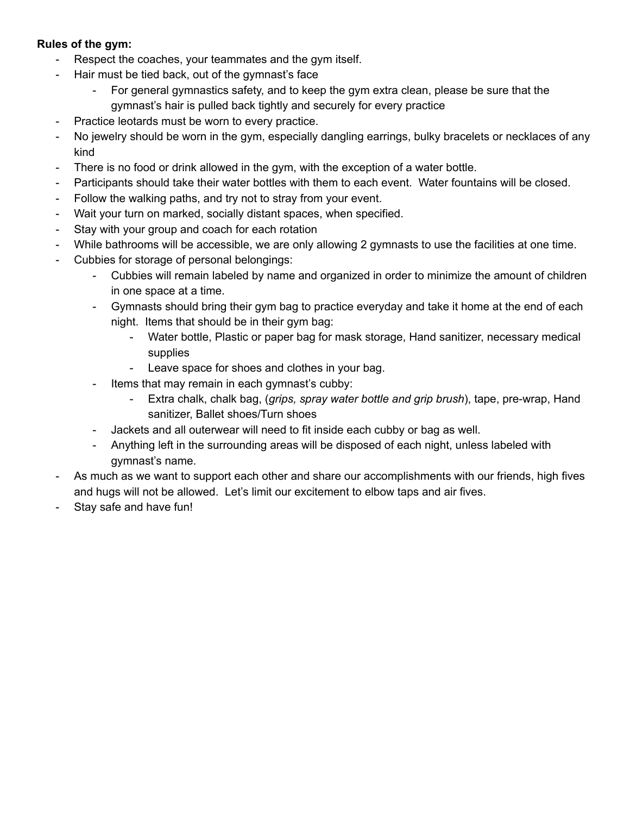#### **Rules of the gym:**

- Respect the coaches, your teammates and the gym itself.
- Hair must be tied back, out of the gymnast's face
	- For general gymnastics safety, and to keep the gym extra clean, please be sure that the gymnast's hair is pulled back tightly and securely for every practice
- Practice leotards must be worn to every practice.
- No jewelry should be worn in the gym, especially dangling earrings, bulky bracelets or necklaces of any kind
- There is no food or drink allowed in the gym, with the exception of a water bottle.
- Participants should take their water bottles with them to each event. Water fountains will be closed.
- Follow the walking paths, and try not to stray from your event.
- Wait your turn on marked, socially distant spaces, when specified.
- Stay with your group and coach for each rotation
- While bathrooms will be accessible, we are only allowing 2 gymnasts to use the facilities at one time.
- Cubbies for storage of personal belongings:
	- Cubbies will remain labeled by name and organized in order to minimize the amount of children in one space at a time.
	- Gymnasts should bring their gym bag to practice everyday and take it home at the end of each night. Items that should be in their gym bag:
		- Water bottle, Plastic or paper bag for mask storage, Hand sanitizer, necessary medical supplies
		- Leave space for shoes and clothes in your bag.
	- Items that may remain in each gymnast's cubby:
		- Extra chalk, chalk bag, (*grips, spray water bottle and grip brush*), tape, pre-wrap, Hand sanitizer, Ballet shoes/Turn shoes
	- Jackets and all outerwear will need to fit inside each cubby or bag as well.
	- Anything left in the surrounding areas will be disposed of each night, unless labeled with gymnast's name.
- As much as we want to support each other and share our accomplishments with our friends, high fives and hugs will not be allowed. Let's limit our excitement to elbow taps and air fives.
- Stay safe and have fun!